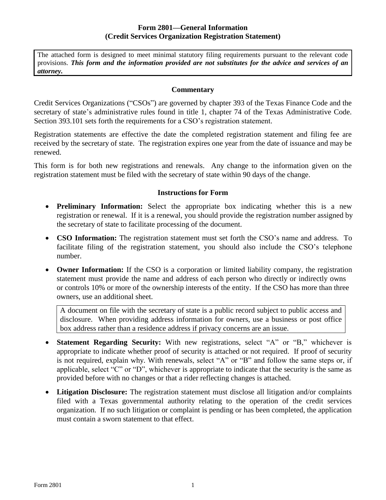### **Form 2801—General Information (Credit Services Organization Registration Statement)**

The attached form is designed to meet minimal statutory filing requirements pursuant to the relevant code provisions. *This form and the information provided are not substitutes for the advice and services of an attorney.*

#### **Commentary**

Credit Services Organizations ("CSOs") are governed by chapter 393 of the Texas Finance Code and the secretary of state's administrative rules found in title 1, chapter 74 of the Texas Administrative Code. Section 393.101 sets forth the requirements for a CSO's registration statement.

Registration statements are effective the date the completed registration statement and filing fee are received by the secretary of state. The registration expires one year from the date of issuance and may be renewed.

This form is for both new registrations and renewals. Any change to the information given on the registration statement must be filed with the secretary of state within 90 days of the change.

### **Instructions for Form**

- **Preliminary Information:** Select the appropriate box indicating whether this is a new registration or renewal. If it is a renewal, you should provide the registration number assigned by the secretary of state to facilitate processing of the document.
- **CSO Information:** The registration statement must set forth the CSO's name and address. To facilitate filing of the registration statement, you should also include the CSO's telephone number.
- **Owner Information:** If the CSO is a corporation or limited liability company, the registration statement must provide the name and address of each person who directly or indirectly owns or controls 10% or more of the ownership interests of the entity. If the CSO has more than three owners, use an additional sheet.

A document on file with the secretary of state is a public record subject to public access and disclosure. When providing address information for owners, use a business or post office box address rather than a residence address if privacy concerns are an issue.

- **Statement Regarding Security:** With new registrations, select "A" or "B," whichever is appropriate to indicate whether proof of security is attached or not required. If proof of security is not required, explain why. With renewals, select "A" or "B" and follow the same steps or, if applicable, select "C" or "D", whichever is appropriate to indicate that the security is the same as provided before with no changes or that a rider reflecting changes is attached.
- **Litigation Disclosure:** The registration statement must disclose all litigation and/or complaints filed with a Texas governmental authority relating to the operation of the credit services organization. If no such litigation or complaint is pending or has been completed, the application must contain a sworn statement to that effect.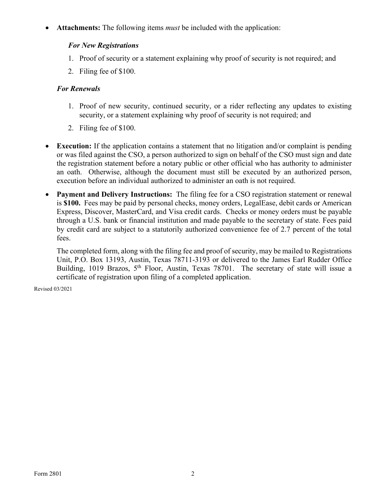**Attachments:** The following items *must* be included with the application:

### *For New Registrations*

- 1. Proof of security or a statement explaining why proof of security is not required; and
- 2. Filing fee of \$100.

### *For Renewals*

- 1. Proof of new security, continued security, or a rider reflecting any updates to existing security, or a statement explaining why proof of security is not required; and
- 2. Filing fee of \$100.
- **Execution:** If the application contains a statement that no litigation and/or complaint is pending or was filed against the CSO, a person authorized to sign on behalf of the CSO must sign and date the registration statement before a notary public or other official who has authority to administer an oath. Otherwise, although the document must still be executed by an authorized person, execution before an individual authorized to administer an oath is not required.
- **Payment and Delivery Instructions:** The filing fee for a CSO registration statement or renewal is **\$100.** Fees may be paid by personal checks, money orders, LegalEase, debit cards or American Express, Discover, MasterCard, and Visa credit cards. Checks or money orders must be payable through a U.S. bank or financial institution and made payable to the secretary of state. Fees paid by credit card are subject to a statutorily authorized convenience fee of 2.7 percent of the total fees.

The completed form, along with the filing fee and proof of security, may be mailed to Registrations Unit, P.O. Box 13193, Austin, Texas 78711-3193 or delivered to the James Earl Rudder Office Building, 1019 Brazos, 5<sup>th</sup> Floor, Austin, Texas 78701. The secretary of state will issue a certificate of registration upon filing of a completed application.

Revised 03/2021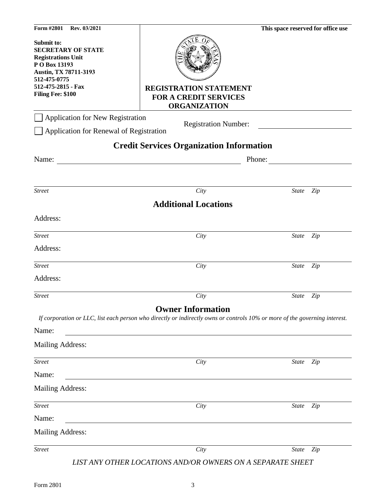| Form #2801<br>Rev. 03/2021                                                                                                                                                |                                                                                                                                                        | This space reserved for office use |     |
|---------------------------------------------------------------------------------------------------------------------------------------------------------------------------|--------------------------------------------------------------------------------------------------------------------------------------------------------|------------------------------------|-----|
| Submit to:<br><b>SECRETARY OF STATE</b><br><b>Registrations Unit</b><br>P O Box 13193<br>Austin, TX 78711-3193<br>512-475-0775<br>512-475-2815 - Fax<br>Filing Fee: \$100 | <b>REGISTRATION STATEMENT</b><br><b>FOR A CREDIT SERVICES</b><br><b>ORGANIZATION</b>                                                                   |                                    |     |
| <b>Application for New Registration</b>                                                                                                                                   | <b>Registration Number:</b>                                                                                                                            |                                    |     |
| Application for Renewal of Registration                                                                                                                                   |                                                                                                                                                        |                                    |     |
|                                                                                                                                                                           | <b>Credit Services Organization Information</b>                                                                                                        |                                    |     |
| Name:                                                                                                                                                                     |                                                                                                                                                        | Phone:                             |     |
|                                                                                                                                                                           |                                                                                                                                                        |                                    |     |
| <b>Street</b>                                                                                                                                                             | City                                                                                                                                                   | <b>State</b>                       | Zip |
|                                                                                                                                                                           | <b>Additional Locations</b>                                                                                                                            |                                    |     |
| Address:                                                                                                                                                                  |                                                                                                                                                        |                                    |     |
| <b>Street</b>                                                                                                                                                             | City                                                                                                                                                   | <b>State</b>                       | Zip |
| Address:                                                                                                                                                                  |                                                                                                                                                        |                                    |     |
| <b>Street</b>                                                                                                                                                             | City                                                                                                                                                   | <b>State</b>                       | Zip |
| Address:                                                                                                                                                                  |                                                                                                                                                        |                                    |     |
| <b>Street</b>                                                                                                                                                             | City                                                                                                                                                   | State                              | Zip |
| Name:<br><b>Mailing Address:</b>                                                                                                                                          | <b>Owner Information</b><br>If corporation or LLC, list each person who directly or indirectly owns or controls 10% or more of the governing interest. |                                    |     |
| <b>Street</b>                                                                                                                                                             | City                                                                                                                                                   | <b>State</b>                       | Zip |
| Name:                                                                                                                                                                     |                                                                                                                                                        |                                    |     |
| <b>Mailing Address:</b>                                                                                                                                                   |                                                                                                                                                        |                                    |     |
| <b>Street</b>                                                                                                                                                             | City                                                                                                                                                   | State                              | Zip |
| Name:                                                                                                                                                                     |                                                                                                                                                        |                                    |     |
| <b>Mailing Address:</b>                                                                                                                                                   |                                                                                                                                                        |                                    |     |
| <b>Street</b>                                                                                                                                                             | City                                                                                                                                                   | <b>State</b>                       | Zip |
|                                                                                                                                                                           | LIST ANY OTHER LOCATIONS AND/OR OWNERS ON A SEPARATE SHEET                                                                                             |                                    |     |